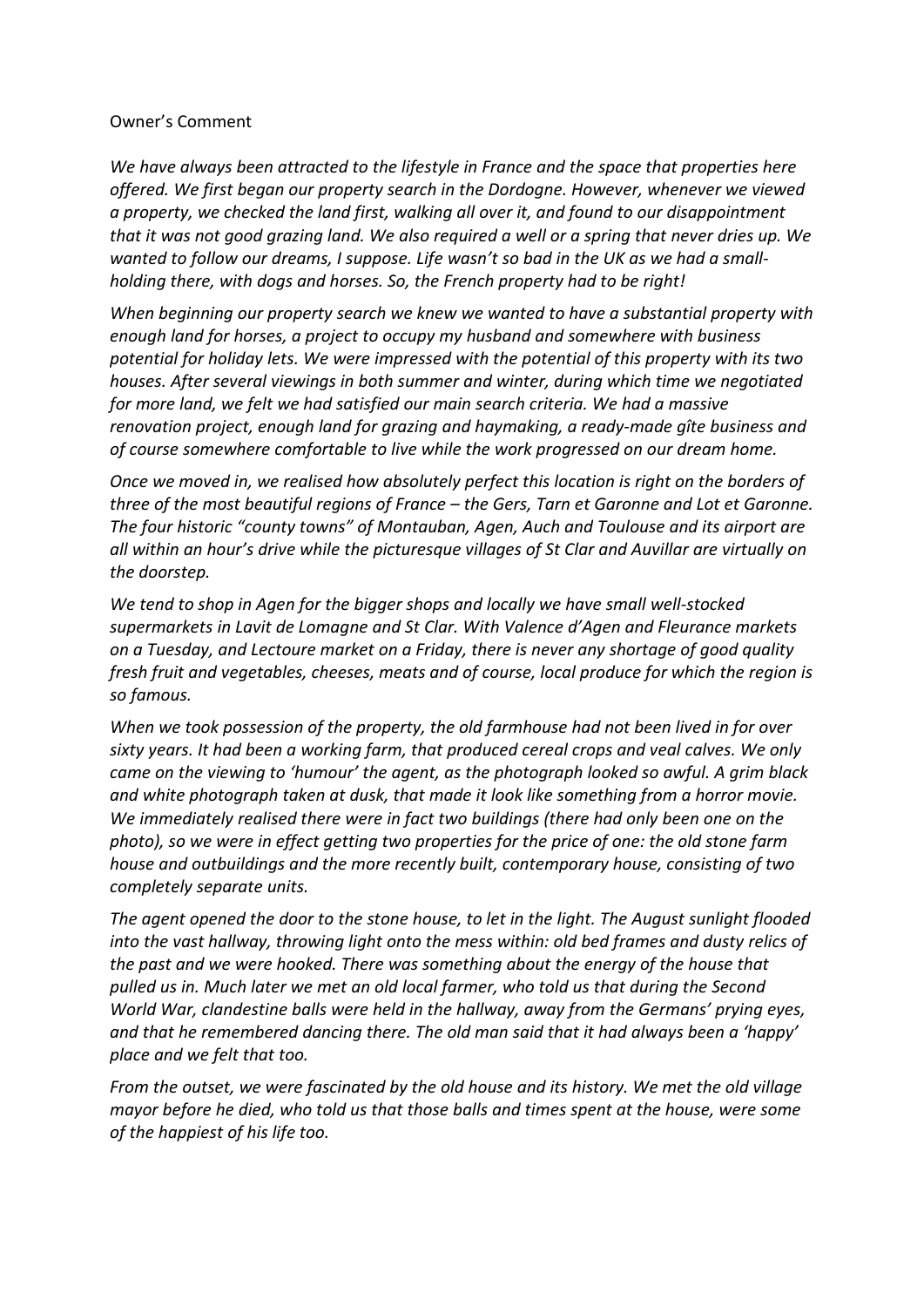## Owner's Comment

*We have always been attracted to the lifestyle in France and the space that properties here offered. We first began our property search in the Dordogne. However, whenever we viewed a property, we checked the land first, walking all over it, and found to our disappointment that it was not good grazing land. We also required a well or a spring that never dries up. We wanted to follow our dreams, I suppose. Life wasn't so bad in the UK as we had a smallholding there, with dogs and horses. So, the French property had to be right!*

*When beginning our property search we knew we wanted to have a substantial property with enough land for horses, a project to occupy my husband and somewhere with business potential for holiday lets. We were impressed with the potential of this property with its two houses. After several viewings in both summer and winter, during which time we negotiated for more land, we felt we had satisfied our main search criteria. We had a massive renovation project, enough land for grazing and haymaking, a ready-made gîte business and of course somewhere comfortable to live while the work progressed on our dream home.* 

*Once we moved in, we realised how absolutely perfect this location is right on the borders of three of the most beautiful regions of France – the Gers, Tarn et Garonne and Lot et Garonne. The four historic "county towns" of Montauban, Agen, Auch and Toulouse and its airport are all within an hour's drive while the picturesque villages of St Clar and Auvillar are virtually on the doorstep.* 

*We tend to shop in Agen for the bigger shops and locally we have small well-stocked supermarkets in Lavit de Lomagne and St Clar. With Valence d'Agen and Fleurance markets on a Tuesday, and Lectoure market on a Friday, there is never any shortage of good quality fresh fruit and vegetables, cheeses, meats and of course, local produce for which the region is so famous.* 

*When we took possession of the property, the old farmhouse had not been lived in for over sixty years. It had been a working farm, that produced cereal crops and veal calves. We only came on the viewing to 'humour' the agent, as the photograph looked so awful. A grim black and white photograph taken at dusk, that made it look like something from a horror movie. We immediately realised there were in fact two buildings (there had only been one on the photo), so we were in effect getting two properties for the price of one: the old stone farm house and outbuildings and the more recently built, contemporary house, consisting of two completely separate units.* 

*The agent opened the door to the stone house, to let in the light. The August sunlight flooded into the vast hallway, throwing light onto the mess within: old bed frames and dusty relics of the past and we were hooked. There was something about the energy of the house that pulled us in. Much later we met an old local farmer, who told us that during the Second World War, clandestine balls were held in the hallway, away from the Germans' prying eyes, and that he remembered dancing there. The old man said that it had always been a 'happy' place and we felt that too.* 

*From the outset, we were fascinated by the old house and its history. We met the old village mayor before he died, who told us that those balls and times spent at the house, were some of the happiest of his life too.*